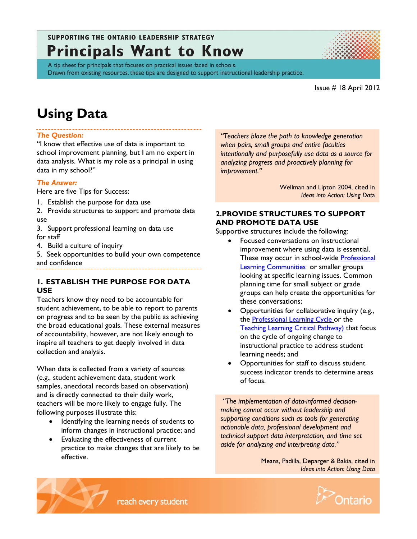# SUPPORTING THE ONTARIO LEADERSHIP STRATEGY **Principals Want to Know**



A tip sheet for principals that focuses on practical issues faced in schools. Drawn from existing resources, these tips are designed to support instructional leadership practice.

Issue # 18 April 2012

# **Using Data**

# *The Question:*

"I know that effective use of data is important to school improvement planning, but I am no expert in data analysis. What is my role as a principal in using data in my school?"

# *The Answer:*

Here are five Tips for Success:

- 1. Establish the purpose for data use
- 2. Provide structures to support and promote data use
- 3. Support professional learning on data use for staff
- 4. Build a culture of inquiry

5. Seek opportunities to build your own competence and confidence

# **1. ESTABLISH THE PURPOSE FOR DATA USE**

Teachers know they need to be accountable for student achievement, to be able to report to parents on progress and to be seen by the public as achieving the broad educational goals. These external measures of accountability, however, are not likely enough to inspire all teachers to get deeply involved in data collection and analysis.

When data is collected from a variety of sources (e.g., student achievement data, student work samples, anecdotal records based on observation) and is directly connected to their daily work, teachers will be more likely to engage fully. The following purposes illustrate this:

- Identifying the learning needs of students to inform changes in instructional practice; and
- Evaluating the effectiveness of current practice to make changes that are likely to be effective.

*"Teachers blaze the path to knowledge generation when pairs, small groups and entire faculties intentionally and purposefully use data as a source for analyzing progress and proactively planning for improvement."* 

> Wellman and Lipton 2004, cited in *Ideas into Action: Using Dat*a

# **2.PROVIDE STRUCTURES TO SUPPORT AND PROMOTE DATA USE**

Supportive structures include the following:

- Focused conversations on instructional improvement where using data is essential. These may occur in school-wide Professional [Learning Communities](http://www.edu.gov.on.ca/eng/literacynumeracy/inspire/research/PLC.pdf) or smaller groups looking at specific learning issues. Common planning time for small subject or grade groups can help create the opportunities for these conversations;
- Opportunities for collaborative inquiry (e.g., the **Professional Learning Cycle** or the **[Teaching Learning Critical Pathway\)](http://www.edu.gov.on.ca/eng/literacynumeracy/inspire/research/teaching_learning.pdf)** that focus on the cycle of ongoing change to instructional practice to address student learning needs; and
- Opportunities for staff to discuss student success indicator trends to determine areas of focus.

 *"The implementation of data-informed decisionmaking cannot occur without leadership and supporting conditions such as tools for generating actionable data, professional development and technical support data interpretation, and time set aside for analyzing and interpreting data."* 

> Means, Padilla, Deparger & Bakia, cited in *Ideas into Action: Using Data*